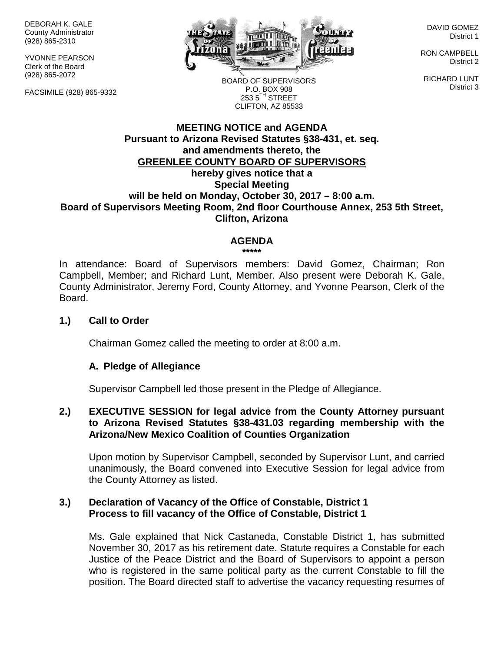DEBORAH K. GALE County Administrator (928) 865-2310

YVONNE PEARSON Clerk of the Board (928) 865-2072

FACSIMILE (928) 865-9332



DAVID GOMEZ District 1

RON CAMPBELL District 2

RICHARD LUNT District 3

BOARD OF SUPERVISORS P.O. BOX 908  $253.5$ <sup>TH</sup> STREET CLIFTON, AZ 85533

### **MEETING NOTICE and AGENDA Pursuant to Arizona Revised Statutes §38-431, et. seq. and amendments thereto, the GREENLEE COUNTY BOARD OF SUPERVISORS hereby gives notice that a Special Meeting will be held on Monday, October 30, 2017 – 8:00 a.m. Board of Supervisors Meeting Room, 2nd floor Courthouse Annex, 253 5th Street, Clifton, Arizona**

#### **AGENDA**

**\*\*\*\*\***

In attendance: Board of Supervisors members: David Gomez, Chairman; Ron Campbell, Member; and Richard Lunt, Member. Also present were Deborah K. Gale, County Administrator, Jeremy Ford, County Attorney, and Yvonne Pearson, Clerk of the Board.

#### **1.) Call to Order**

Chairman Gomez called the meeting to order at 8:00 a.m.

#### **A. Pledge of Allegiance**

Supervisor Campbell led those present in the Pledge of Allegiance.

### **2.) EXECUTIVE SESSION for legal advice from the County Attorney pursuant to Arizona Revised Statutes §38-431.03 regarding membership with the Arizona/New Mexico Coalition of Counties Organization**

Upon motion by Supervisor Campbell, seconded by Supervisor Lunt, and carried unanimously, the Board convened into Executive Session for legal advice from the County Attorney as listed.

### **3.) Declaration of Vacancy of the Office of Constable, District 1 Process to fill vacancy of the Office of Constable, District 1**

Ms. Gale explained that Nick Castaneda, Constable District 1, has submitted November 30, 2017 as his retirement date. Statute requires a Constable for each Justice of the Peace District and the Board of Supervisors to appoint a person who is registered in the same political party as the current Constable to fill the position. The Board directed staff to advertise the vacancy requesting resumes of